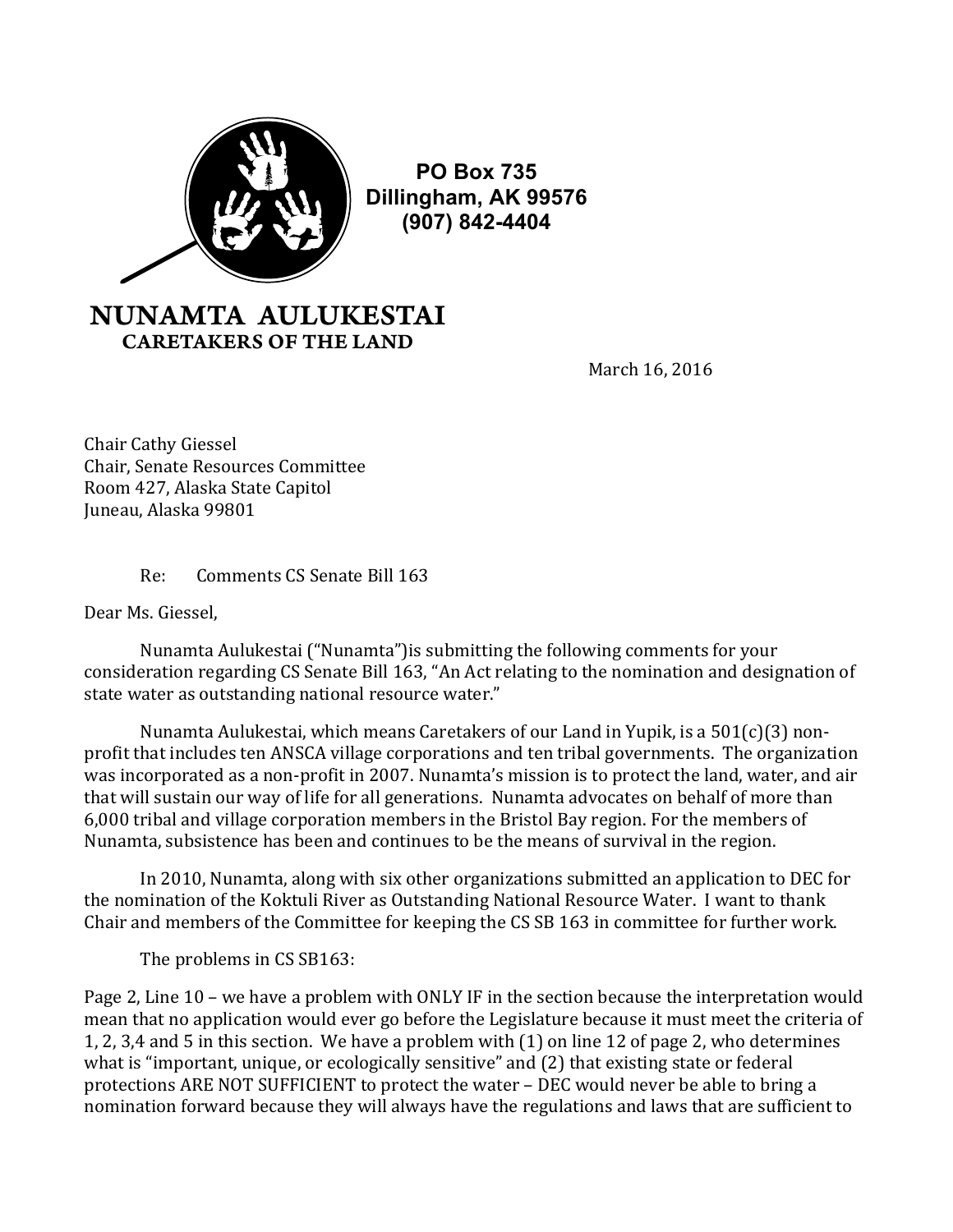

**PO Box 735 Dillingham, AK 99576 (907) 842-4404**

## NUNAMTA AULUKESTAI CARETAKERS OF THE LAND

March 16, 2016

Chair Cathy Giessel Chair, Senate Resources Committee Room 427, Alaska State Capitol Juneau, Alaska 99801

## Re: Comments CS Senate Bill 163

Dear Ms. Giessel,

Nunamta Aulukestai ("Nunamta") is submitting the following comments for your consideration regarding CS Senate Bill 163, "An Act relating to the nomination and designation of state water as outstanding national resource water."

Nunamta Aulukestai, which means Caretakers of our Land in Yupik, is a  $501(c)(3)$  nonprofit that includes ten ANSCA village corporations and ten tribal governments. The organization was incorporated as a non-profit in 2007. Nunamta's mission is to protect the land, water, and air that will sustain our way of life for all generations. Nunamta advocates on behalf of more than 6,000 tribal and village corporation members in the Bristol Bay region. For the members of Nunamta, subsistence has been and continues to be the means of survival in the region.

In 2010, Nunamta, along with six other organizations submitted an application to DEC for the nomination of the Koktuli River as Outstanding National Resource Water. I want to thank Chair and members of the Committee for keeping the CS SB 163 in committee for further work.

The problems in CS SB163:

Page 2, Line 10 – we have a problem with ONLY IF in the section because the interpretation would mean that no application would ever go before the Legislature because it must meet the criteria of 1, 2, 3,4 and 5 in this section. We have a problem with  $(1)$  on line 12 of page 2, who determines what is "important, unique, or ecologically sensitive" and (2) that existing state or federal protections ARE NOT SUFFICIENT to protect the water – DEC would never be able to bring a nomination forward because they will always have the regulations and laws that are sufficient to